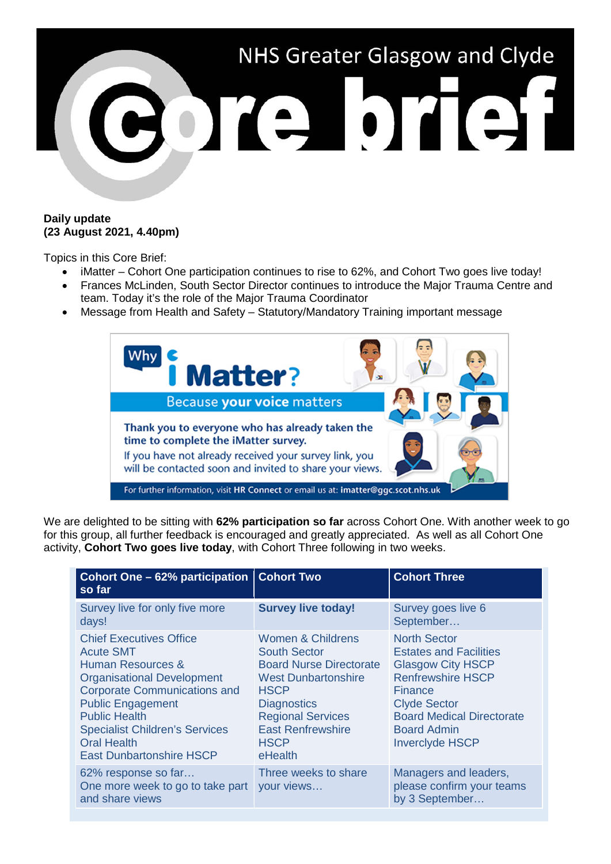

### **Daily update (23 August 2021, 4.40pm)**

Topics in this Core Brief:

- iMatter Cohort One participation continues to rise to 62%, and Cohort Two goes live today!
- Frances McLinden, South Sector Director continues to introduce the Major Trauma Centre and team. Today it's the role of the Major Trauma Coordinator
- Message from Health and Safety Statutory/Mandatory Training important message



We are delighted to be sitting with **62% participation so far** across Cohort One. With another week to go for this group, all further feedback is encouraged and greatly appreciated. As well as all Cohort One activity, **Cohort Two goes live today**, with Cohort Three following in two weeks.

| Cohort One – 62% participation   Cohort Two<br>so far                                                                                                                                                                                                                                                     |                                                                                                                                                                                                                                 | <b>Cohort Three</b>                                                                                                                                                                                                                       |
|-----------------------------------------------------------------------------------------------------------------------------------------------------------------------------------------------------------------------------------------------------------------------------------------------------------|---------------------------------------------------------------------------------------------------------------------------------------------------------------------------------------------------------------------------------|-------------------------------------------------------------------------------------------------------------------------------------------------------------------------------------------------------------------------------------------|
| Survey live for only five more<br>days!                                                                                                                                                                                                                                                                   | <b>Survey live today!</b>                                                                                                                                                                                                       | Survey goes live 6<br>September                                                                                                                                                                                                           |
| <b>Chief Executives Office</b><br><b>Acute SMT</b><br>Human Resources &<br><b>Organisational Development</b><br><b>Corporate Communications and</b><br><b>Public Engagement</b><br><b>Public Health</b><br><b>Specialist Children's Services</b><br><b>Oral Health</b><br><b>East Dunbartonshire HSCP</b> | Women & Childrens<br><b>South Sector</b><br><b>Board Nurse Directorate</b><br><b>West Dunbartonshire</b><br><b>HSCP</b><br><b>Diagnostics</b><br><b>Regional Services</b><br><b>East Renfrewshire</b><br><b>HSCP</b><br>eHealth | <b>North Sector</b><br><b>Estates and Facilities</b><br><b>Glasgow City HSCP</b><br><b>Renfrewshire HSCP</b><br><b>Finance</b><br><b>Clyde Sector</b><br><b>Board Medical Directorate</b><br><b>Board Admin</b><br><b>Inverclyde HSCP</b> |
| 62% response so far<br>One more week to go to take part<br>and share views                                                                                                                                                                                                                                | Three weeks to share<br>your views                                                                                                                                                                                              | Managers and leaders,<br>please confirm your teams<br>by 3 September                                                                                                                                                                      |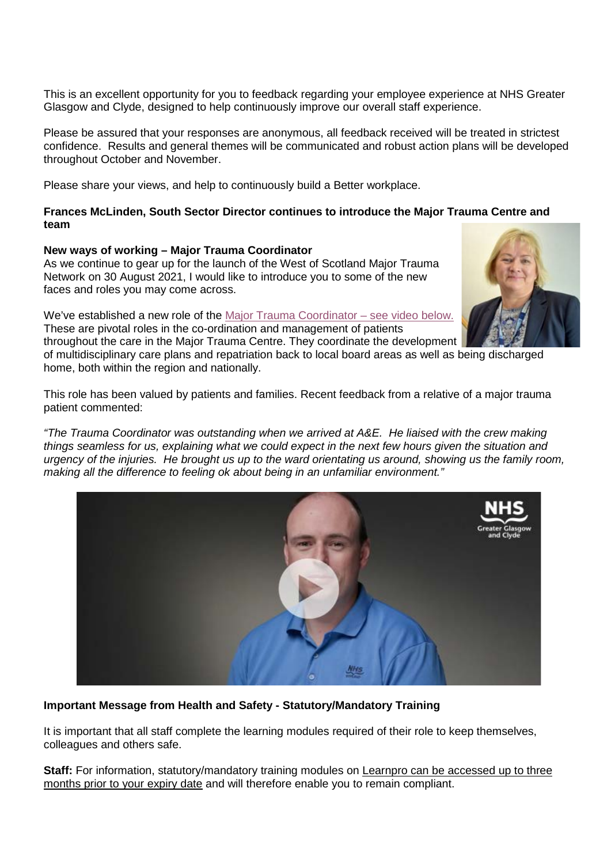This is an excellent opportunity for you to feedback regarding your employee experience at NHS Greater Glasgow and Clyde, designed to help continuously improve our overall staff experience.

Please be assured that your responses are anonymous, all feedback received will be treated in strictest confidence. Results and general themes will be communicated and robust action plans will be developed throughout October and November.

Please share your views, and help to continuously build a Better workplace.

#### **Frances McLinden, South Sector Director continues to introduce the Major Trauma Centre and team**

### **New ways of working – Major Trauma Coordinator**

As we continue to gear up for the launch of the West of Scotland Major Trauma Network on 30 August 2021, I would like to introduce you to some of the new faces and roles you may come across.

We've established a new role of the [Major Trauma Coordinator –](https://www.youtube.com/watch?v=wgztIa92DMc) see video below. These are pivotal roles in the co-ordination and management of patients



throughout the care in the Major Trauma Centre. They coordinate the development of multidisciplinary care plans and repatriation back to local board areas as well as being discharged home, both within the region and nationally.

This role has been valued by patients and families. Recent feedback from a relative of a major trauma patient commented:

*"The Trauma Coordinator was outstanding when we arrived at A&E. He liaised with the crew making things seamless for us, explaining what we could expect in the next few hours given the situation and urgency of the injuries. He brought us up to the ward orientating us around, showing us the family room, making all the difference to feeling ok about being in an unfamiliar environment."*



# **Important Message from Health and Safety - Statutory/Mandatory Training**

It is important that all staff complete the learning modules required of their role to keep themselves, colleagues and others safe.

**Staff:** For information, statutory/mandatory training modules on Learnpro can be accessed up to three months prior to your expiry date and will therefore enable you to remain compliant.